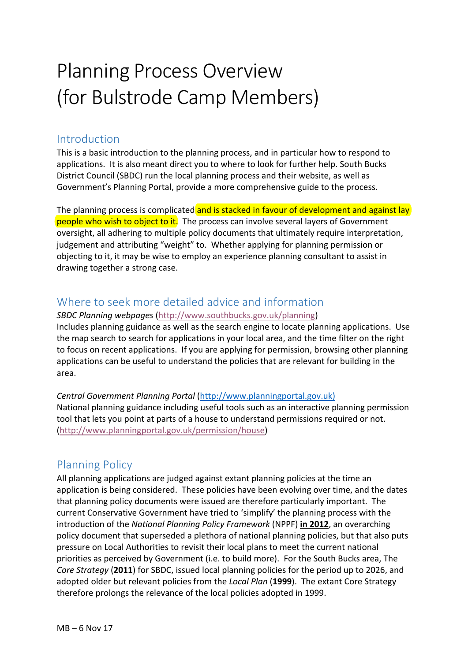# Planning Process Overview (for Bulstrode Camp Members)

## Introduction

This is a basic introduction to the planning process, and in particular how to respond to applications. It is also meant direct you to where to look for further help. South Bucks District Council (SBDC) run the local planning process and their website, as well as Government's Planning Portal, provide a more comprehensive guide to the process.

The planning process is complicated and is stacked in favour of development and against lay people who wish to object to it. The process can involve several layers of Government oversight, all adhering to multiple policy documents that ultimately require interpretation, judgement and attributing "weight" to. Whether applying for planning permission or objecting to it, it may be wise to employ an experience planning consultant to assist in drawing together a strong case.

# Where to seek more detailed advice and information

**SBDC Planning webpages** (http://www.southbucks.gov.uk/planning) Includes planning guidance as well as the search engine to locate planning applications. Use the map search to search for applications in your local area, and the time filter on the right to focus on recent applications. If you are applying for permission, browsing other planning applications can be useful to understand the policies that are relevant for building in the area. 

*Central Government Planning Portal* (http://www.planningportal.gov.uk) National planning guidance including useful tools such as an interactive planning permission tool that lets you point at parts of a house to understand permissions required or not. (http://www.planningportal.gov.uk/permission/house)

# Planning Policy

All planning applications are judged against extant planning policies at the time an application is being considered. These policies have been evolving over time, and the dates that planning policy documents were issued are therefore particularly important. The current Conservative Government have tried to 'simplify' the planning process with the introduction of the *National Planning Policy Framework* (NPPF) **in 2012**, an overarching policy document that superseded a plethora of national planning policies, but that also puts pressure on Local Authorities to revisit their local plans to meet the current national priorities as perceived by Government (i.e. to build more). For the South Bucks area, The *Core Strategy* (2011) for SBDC, issued local planning policies for the period up to 2026, and adopted older but relevant policies from the *Local Plan* (1999). The extant Core Strategy therefore prolongs the relevance of the local policies adopted in 1999.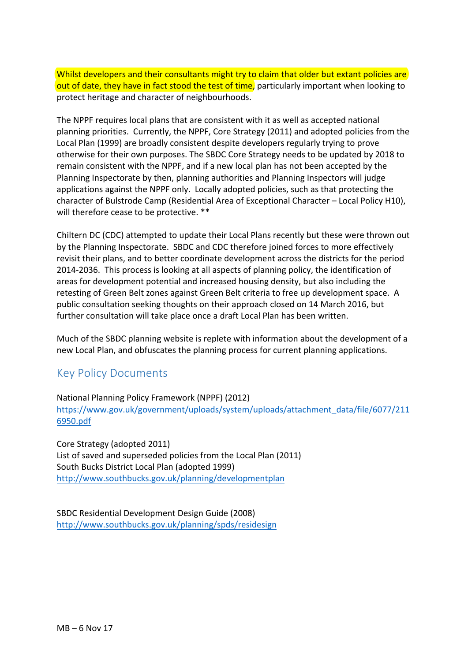Whilst developers and their consultants might try to claim that older but extant policies are out of date, they have in fact stood the test of time, particularly important when looking to protect heritage and character of neighbourhoods.

The NPPF requires local plans that are consistent with it as well as accepted national planning priorities. Currently, the NPPF, Core Strategy (2011) and adopted policies from the Local Plan (1999) are broadly consistent despite developers regularly trying to prove otherwise for their own purposes. The SBDC Core Strategy needs to be updated by 2018 to remain consistent with the NPPF, and if a new local plan has not been accepted by the Planning Inspectorate by then, planning authorities and Planning Inspectors will judge applications against the NPPF only. Locally adopted policies, such as that protecting the character of Bulstrode Camp (Residential Area of Exceptional Character – Local Policy H10), will therefore cease to be protective. \*\*

Chiltern DC (CDC) attempted to update their Local Plans recently but these were thrown out by the Planning Inspectorate. SBDC and CDC therefore joined forces to more effectively revisit their plans, and to better coordinate development across the districts for the period 2014-2036. This process is looking at all aspects of planning policy, the identification of areas for development potential and increased housing density, but also including the retesting of Green Belt zones against Green Belt criteria to free up development space. A public consultation seeking thoughts on their approach closed on 14 March 2016, but further consultation will take place once a draft Local Plan has been written.

Much of the SBDC planning website is replete with information about the development of a new Local Plan, and obfuscates the planning process for current planning applications.

### Key Policy Documents

National Planning Policy Framework (NPPF) (2012) https://www.gov.uk/government/uploads/system/uploads/attachment\_data/file/6077/211 6950.pdf

Core Strategy (adopted 2011) List of saved and superseded policies from the Local Plan (2011) South Bucks District Local Plan (adopted 1999) http://www.southbucks.gov.uk/planning/developmentplan

SBDC Residential Development Design Guide (2008) http://www.southbucks.gov.uk/planning/spds/residesign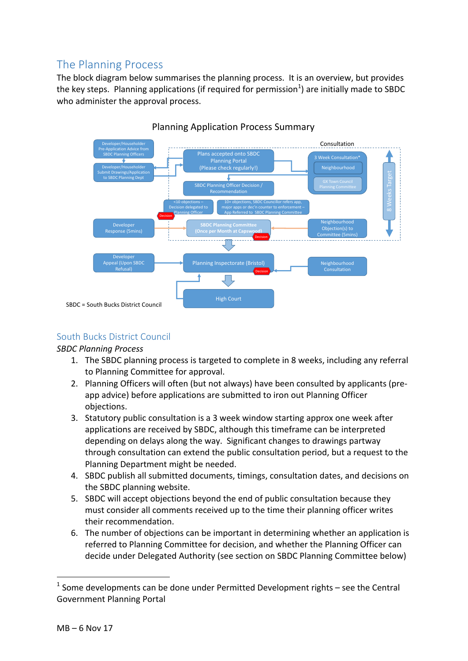# The Planning Process

The block diagram below summarises the planning process. It is an overview, but provides the key steps. Planning applications (if required for permission<sup>1</sup>) are initially made to SBDC who administer the approval process.



### Planning Application Process Summary

### South Bucks District Council

### *SBDC Planning Process*

- 1. The SBDC planning process is targeted to complete in 8 weeks, including any referral to Planning Committee for approval.
- 2. Planning Officers will often (but not always) have been consulted by applicants (preapp advice) before applications are submitted to iron out Planning Officer objections.
- 3. Statutory public consultation is a 3 week window starting approx one week after applications are received by SBDC, although this timeframe can be interpreted depending on delays along the way. Significant changes to drawings partway through consultation can extend the public consultation period, but a request to the Planning Department might be needed.
- 4. SBDC publish all submitted documents, timings, consultation dates, and decisions on the SBDC planning website.
- 5. SBDC will accept objections beyond the end of public consultation because they must consider all comments received up to the time their planning officer writes their recommendation.
- 6. The number of objections can be important in determining whether an application is referred to Planning Committee for decision, and whether the Planning Officer can decide under Delegated Authority (see section on SBDC Planning Committee below)

 

 $1$  Some developments can be done under Permitted Development rights – see the Central Government Planning Portal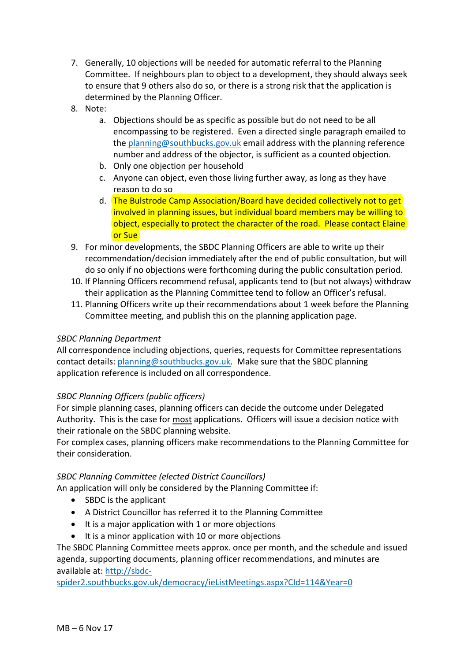- 7. Generally, 10 objections will be needed for automatic referral to the Planning Committee. If neighbours plan to object to a development, they should always seek to ensure that 9 others also do so, or there is a strong risk that the application is determined by the Planning Officer.
- 8. Note:
	- a. Objections should be as specific as possible but do not need to be all encompassing to be registered. Even a directed single paragraph emailed to the planning@southbucks.gov.uk email address with the planning reference number and address of the objector, is sufficient as a counted objection.
	- b. Only one objection per household
	- c. Anyone can object, even those living further away, as long as they have reason to do so
	- d. The Bulstrode Camp Association/Board have decided collectively not to get involved in planning issues, but individual board members may be willing to object, especially to protect the character of the road. Please contact Elaine or Sue
- 9. For minor developments, the SBDC Planning Officers are able to write up their recommendation/decision immediately after the end of public consultation, but will do so only if no objections were forthcoming during the public consultation period.
- 10. If Planning Officers recommend refusal, applicants tend to (but not always) withdraw their application as the Planning Committee tend to follow an Officer's refusal.
- 11. Planning Officers write up their recommendations about 1 week before the Planning Committee meeting, and publish this on the planning application page.

### *SBDC Planning Department*

All correspondence including objections, queries, requests for Committee representations contact details: planning@southbucks.gov.uk. Make sure that the SBDC planning application reference is included on all correspondence.

#### *SBDC Planning Officers (public officers)*

For simple planning cases, planning officers can decide the outcome under Delegated Authority. This is the case for most applications. Officers will issue a decision notice with their rationale on the SBDC planning website.

For complex cases, planning officers make recommendations to the Planning Committee for their consideration.

#### *SBDC Planning Committee (elected District Councillors)*

An application will only be considered by the Planning Committee if:

- SBDC is the applicant
- A District Councillor has referred it to the Planning Committee
- $\bullet$  It is a major application with 1 or more objections
- $\bullet$  It is a minor application with 10 or more objections

The SBDC Planning Committee meets approx. once per month, and the schedule and issued agenda, supporting documents, planning officer recommendations, and minutes are available at: http://sbdc-

spider2.southbucks.gov.uk/democracy/ieListMeetings.aspx?CId=114&Year=0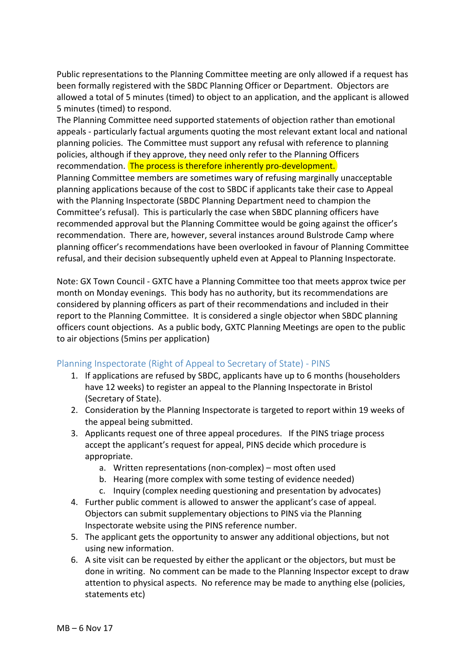Public representations to the Planning Committee meeting are only allowed if a request has been formally registered with the SBDC Planning Officer or Department. Objectors are allowed a total of 5 minutes (timed) to object to an application, and the applicant is allowed 5 minutes (timed) to respond.

The Planning Committee need supported statements of objection rather than emotional appeals - particularly factual arguments quoting the most relevant extant local and national planning policies. The Committee must support any refusal with reference to planning policies, although if they approve, they need only refer to the Planning Officers recommendation. The process is therefore inherently pro-development.

Planning Committee members are sometimes wary of refusing marginally unacceptable planning applications because of the cost to SBDC if applicants take their case to Appeal with the Planning Inspectorate (SBDC Planning Department need to champion the Committee's refusal). This is particularly the case when SBDC planning officers have recommended approval but the Planning Committee would be going against the officer's recommendation. There are, however, several instances around Bulstrode Camp where planning officer's recommendations have been overlooked in favour of Planning Committee refusal, and their decision subsequently upheld even at Appeal to Planning Inspectorate.

Note: GX Town Council - GXTC have a Planning Committee too that meets approx twice per month on Monday evenings. This body has no authority, but its recommendations are considered by planning officers as part of their recommendations and included in their report to the Planning Committee. It is considered a single objector when SBDC planning officers count objections. As a public body, GXTC Planning Meetings are open to the public to air objections (5mins per application)

### Planning Inspectorate (Right of Appeal to Secretary of State) - PINS

- 1. If applications are refused by SBDC, applicants have up to 6 months (householders have 12 weeks) to register an appeal to the Planning Inspectorate in Bristol (Secretary of State).
- 2. Consideration by the Planning Inspectorate is targeted to report within 19 weeks of the appeal being submitted.
- 3. Applicants request one of three appeal procedures. If the PINS triage process accept the applicant's request for appeal, PINS decide which procedure is appropriate.
	- a. Written representations (non-complex) most often used
	- b. Hearing (more complex with some testing of evidence needed)
	- c. Inquiry (complex needing questioning and presentation by advocates)
- 4. Further public comment is allowed to answer the applicant's case of appeal. Objectors can submit supplementary objections to PINS via the Planning Inspectorate website using the PINS reference number.
- 5. The applicant gets the opportunity to answer any additional objections, but not using new information.
- 6. A site visit can be requested by either the applicant or the objectors, but must be done in writing. No comment can be made to the Planning Inspector except to draw attention to physical aspects. No reference may be made to anything else (policies, statements etc)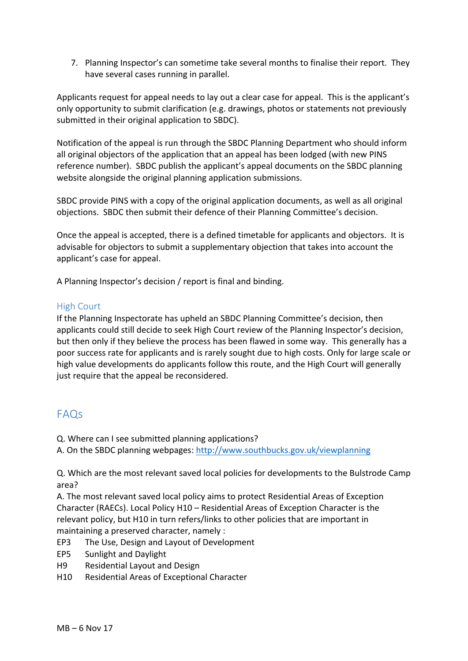7. Planning Inspector's can sometime take several months to finalise their report. They have several cases running in parallel.

Applicants request for appeal needs to lay out a clear case for appeal. This is the applicant's only opportunity to submit clarification (e.g. drawings, photos or statements not previously submitted in their original application to SBDC).

Notification of the appeal is run through the SBDC Planning Department who should inform all original objectors of the application that an appeal has been lodged (with new PINS reference number). SBDC publish the applicant's appeal documents on the SBDC planning website alongside the original planning application submissions.

SBDC provide PINS with a copy of the original application documents, as well as all original objections. SBDC then submit their defence of their Planning Committee's decision.

Once the appeal is accepted, there is a defined timetable for applicants and objectors. It is advisable for objectors to submit a supplementary objection that takes into account the applicant's case for appeal.

A Planning Inspector's decision / report is final and binding.

#### High Court

If the Planning Inspectorate has upheld an SBDC Planning Committee's decision, then applicants could still decide to seek High Court review of the Planning Inspector's decision, but then only if they believe the process has been flawed in some way. This generally has a poor success rate for applicants and is rarely sought due to high costs. Only for large scale or high value developments do applicants follow this route, and the High Court will generally just require that the appeal be reconsidered.

### FAQs

Q. Where can I see submitted planning applications?

A. On the SBDC planning webpages: http://www.southbucks.gov.uk/viewplanning

Q. Which are the most relevant saved local policies for developments to the Bulstrode Camp area?

A. The most relevant saved local policy aims to protect Residential Areas of Exception Character (RAECs). Local Policy  $H10 -$  Residential Areas of Exception Character is the relevant policy, but H10 in turn refers/links to other policies that are important in maintaining a preserved character, namely :

- EP3 The Use, Design and Layout of Development
- EP5 Sunlight and Daylight
- H<sub>9</sub> Residential Layout and Design
- H10 Residential Areas of Exceptional Character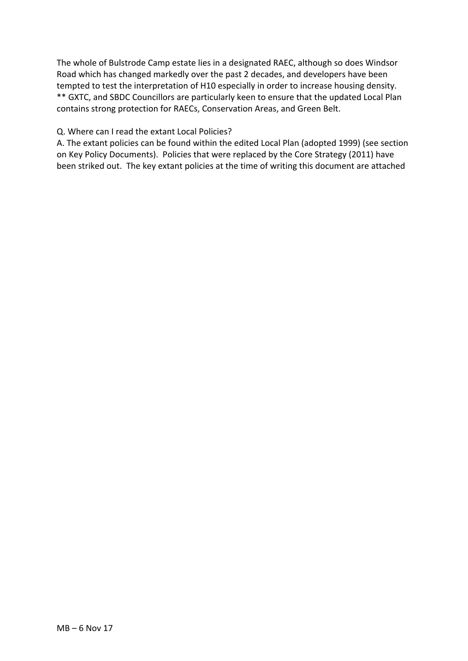The whole of Bulstrode Camp estate lies in a designated RAEC, although so does Windsor Road which has changed markedly over the past 2 decades, and developers have been tempted to test the interpretation of H10 especially in order to increase housing density. \*\* GXTC, and SBDC Councillors are particularly keen to ensure that the updated Local Plan contains strong protection for RAECs, Conservation Areas, and Green Belt.

#### Q. Where can I read the extant Local Policies?

A. The extant policies can be found within the edited Local Plan (adopted 1999) (see section on Key Policy Documents). Policies that were replaced by the Core Strategy (2011) have been striked out. The key extant policies at the time of writing this document are attached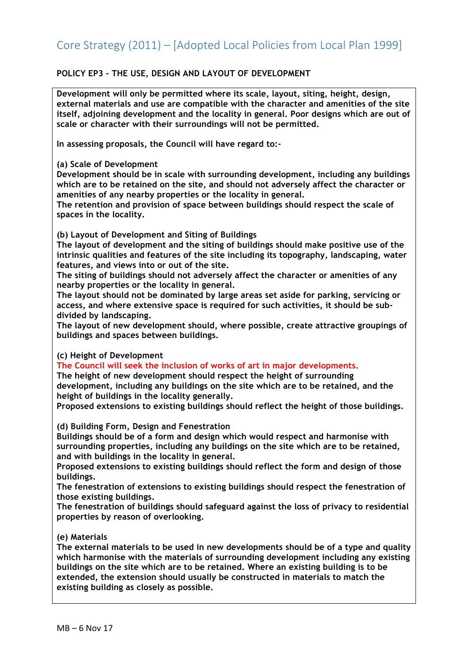### **POLICY EP3 - THE USE, DESIGN AND LAYOUT OF DEVELOPMENT**

**Development will only be permitted where its scale, layout, siting, height, design, external materials and use are compatible with the character and amenities of the site itself, adjoining development and the locality in general. Poor designs which are out of scale or character with their surroundings will not be permitted.** 

**In assessing proposals, the Council will have regard to:-**

#### **(a) Scale of Development**

**Development should be in scale with surrounding development, including any buildings which are to be retained on the site, and should not adversely affect the character or amenities of any nearby properties or the locality in general.** 

**The retention and provision of space between buildings should respect the scale of spaces in the locality.** 

**(b) Layout of Development and Siting of Buildings** 

**The layout of development and the siting of buildings should make positive use of the intrinsic qualities and features of the site including its topography, landscaping, water features, and views into or out of the site.** 

**The siting of buildings should not adversely affect the character or amenities of any nearby properties or the locality in general.** 

**The layout should not be dominated by large areas set aside for parking, servicing or access, and where extensive space is required for such activities, it should be subdivided by landscaping.** 

**The layout of new development should, where possible, create attractive groupings of buildings and spaces between buildings.** 

#### **(c) Height of Development**

**The Council will seek the inclusion of works of art in major developments.** 

**The height of new development should respect the height of surrounding development, including any buildings on the site which are to be retained, and the height of buildings in the locality generally.** 

**Proposed extensions to existing buildings should reflect the height of those buildings.** 

#### **(d) Building Form, Design and Fenestration**

**Buildings should be of a form and design which would respect and harmonise with surrounding properties, including any buildings on the site which are to be retained, and with buildings in the locality in general.** 

**Proposed extensions to existing buildings should reflect the form and design of those buildings.** 

**The fenestration of extensions to existing buildings should respect the fenestration of those existing buildings.** 

**The fenestration of buildings should safeguard against the loss of privacy to residential properties by reason of overlooking.** 

#### **(e) Materials**

**The external materials to be used in new developments should be of a type and quality which harmonise with the materials of surrounding development including any existing buildings on the site which are to be retained. Where an existing building is to be extended, the extension should usually be constructed in materials to match the existing building as closely as possible.**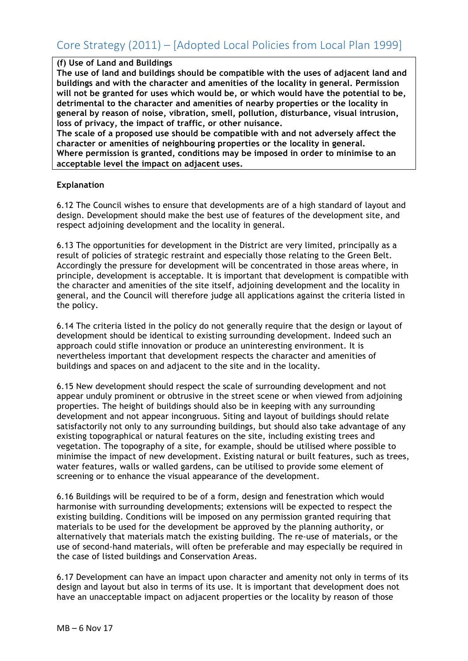#### **(f) Use of Land and Buildings**

**The use of land and buildings should be compatible with the uses of adjacent land and buildings and with the character and amenities of the locality in general. Permission will not be granted for uses which would be, or which would have the potential to be, detrimental to the character and amenities of nearby properties or the locality in general by reason of noise, vibration, smell, pollution, disturbance, visual intrusion, loss of privacy, the impact of traffic, or other nuisance.** 

**The scale of a proposed use should be compatible with and not adversely affect the character or amenities of neighbouring properties or the locality in general. Where permission is granted, conditions may be imposed in order to minimise to an acceptable level the impact on adjacent uses.** 

#### **Explanation**

6.12 The Council wishes to ensure that developments are of a high standard of layout and design. Development should make the best use of features of the development site, and respect adjoining development and the locality in general.

6.13 The opportunities for development in the District are very limited, principally as a result of policies of strategic restraint and especially those relating to the Green Belt. Accordingly the pressure for development will be concentrated in those areas where, in principle, development is acceptable. It is important that development is compatible with the character and amenities of the site itself, adjoining development and the locality in general, and the Council will therefore judge all applications against the criteria listed in the policy.

6.14 The criteria listed in the policy do not generally require that the design or layout of development should be identical to existing surrounding development. Indeed such an approach could stifle innovation or produce an uninteresting environment. It is nevertheless important that development respects the character and amenities of buildings and spaces on and adjacent to the site and in the locality.

6.15 New development should respect the scale of surrounding development and not appear unduly prominent or obtrusive in the street scene or when viewed from adjoining properties. The height of buildings should also be in keeping with any surrounding development and not appear incongruous. Siting and layout of buildings should relate satisfactorily not only to any surrounding buildings, but should also take advantage of any existing topographical or natural features on the site, including existing trees and vegetation. The topography of a site, for example, should be utilised where possible to minimise the impact of new development. Existing natural or built features, such as trees, water features, walls or walled gardens, can be utilised to provide some element of screening or to enhance the visual appearance of the development.

6.16 Buildings will be required to be of a form, design and fenestration which would harmonise with surrounding developments; extensions will be expected to respect the existing building. Conditions will be imposed on any permission granted requiring that materials to be used for the development be approved by the planning authority, or alternatively that materials match the existing building. The re-use of materials, or the use of second-hand materials, will often be preferable and may especially be required in the case of listed buildings and Conservation Areas.

6.17 Development can have an impact upon character and amenity not only in terms of its design and layout but also in terms of its use. It is important that development does not have an unacceptable impact on adjacent properties or the locality by reason of those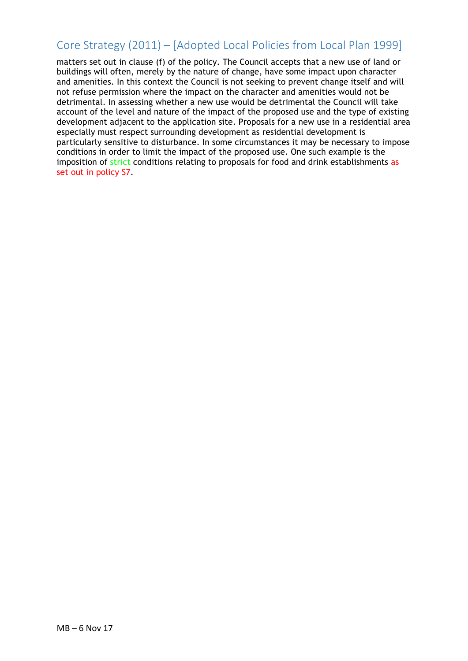matters set out in clause (f) of the policy. The Council accepts that a new use of land or buildings will often, merely by the nature of change, have some impact upon character and amenities. In this context the Council is not seeking to prevent change itself and will not refuse permission where the impact on the character and amenities would not be detrimental. In assessing whether a new use would be detrimental the Council will take account of the level and nature of the impact of the proposed use and the type of existing development adjacent to the application site. Proposals for a new use in a residential area especially must respect surrounding development as residential development is particularly sensitive to disturbance. In some circumstances it may be necessary to impose conditions in order to limit the impact of the proposed use. One such example is the imposition of strict conditions relating to proposals for food and drink establishments as set out in policy S7.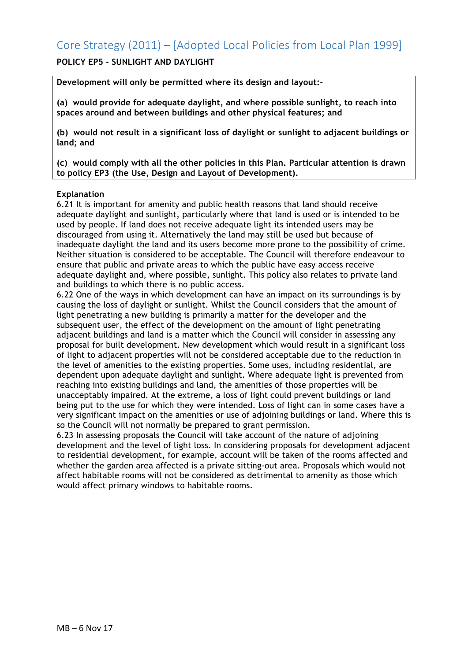### **POLICY EP5 - SUNLIGHT AND DAYLIGHT**

**Development will only be permitted where its design and layout:-**

**(a) would provide for adequate daylight, and where possible sunlight, to reach into spaces around and between buildings and other physical features; and** 

**(b) would not result in a significant loss of daylight or sunlight to adjacent buildings or land; and** 

**(c) would comply with all the other policies in this Plan. Particular attention is drawn to policy EP3 (the Use, Design and Layout of Development).** 

#### **Explanation**

6.21 It is important for amenity and public health reasons that land should receive adequate daylight and sunlight, particularly where that land is used or is intended to be used by people. If land does not receive adequate light its intended users may be discouraged from using it. Alternatively the land may still be used but because of inadequate daylight the land and its users become more prone to the possibility of crime. Neither situation is considered to be acceptable. The Council will therefore endeavour to ensure that public and private areas to which the public have easy access receive adequate daylight and, where possible, sunlight. This policy also relates to private land and buildings to which there is no public access.

6.22 One of the ways in which development can have an impact on its surroundings is by causing the loss of daylight or sunlight. Whilst the Council considers that the amount of light penetrating a new building is primarily a matter for the developer and the subsequent user, the effect of the development on the amount of light penetrating adjacent buildings and land is a matter which the Council will consider in assessing any proposal for built development. New development which would result in a significant loss of light to adjacent properties will not be considered acceptable due to the reduction in the level of amenities to the existing properties. Some uses, including residential, are dependent upon adequate daylight and sunlight. Where adequate light is prevented from reaching into existing buildings and land, the amenities of those properties will be unacceptably impaired. At the extreme, a loss of light could prevent buildings or land being put to the use for which they were intended. Loss of light can in some cases have a very significant impact on the amenities or use of adjoining buildings or land. Where this is so the Council will not normally be prepared to grant permission.

6.23 In assessing proposals the Council will take account of the nature of adjoining development and the level of light loss. In considering proposals for development adjacent to residential development, for example, account will be taken of the rooms affected and whether the garden area affected is a private sitting-out area. Proposals which would not affect habitable rooms will not be considered as detrimental to amenity as those which would affect primary windows to habitable rooms.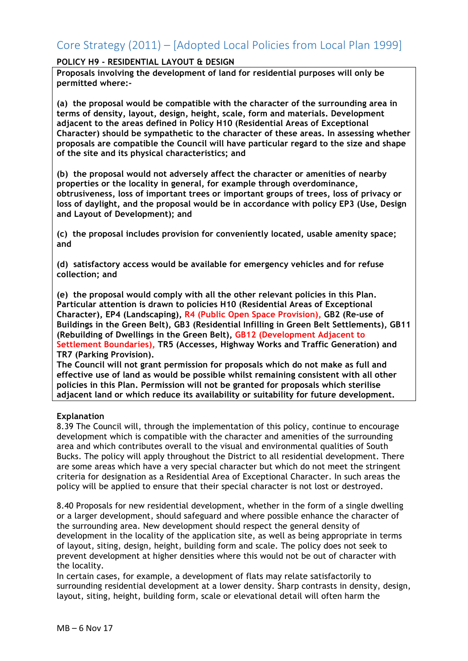#### **POLICY H9 - RESIDENTIAL LAYOUT & DESIGN**

**Proposals involving the development of land for residential purposes will only be permitted where:-**

**(a) the proposal would be compatible with the character of the surrounding area in terms of density, layout, design, height, scale, form and materials. Development adjacent to the areas defined in Policy H10 (Residential Areas of Exceptional Character) should be sympathetic to the character of these areas. In assessing whether proposals are compatible the Council will have particular regard to the size and shape of the site and its physical characteristics; and** 

**(b) the proposal would not adversely affect the character or amenities of nearby properties or the locality in general, for example through overdominance, obtrusiveness, loss of important trees or important groups of trees, loss of privacy or loss of daylight, and the proposal would be in accordance with policy EP3 (Use, Design and Layout of Development); and** 

**(c) the proposal includes provision for conveniently located, usable amenity space; and** 

**(d) satisfactory access would be available for emergency vehicles and for refuse collection; and** 

**(e) the proposal would comply with all the other relevant policies in this Plan. Particular attention is drawn to policies H10 (Residential Areas of Exceptional Character), EP4 (Landscaping), R4 (Public Open Space Provision), GB2 (Re-use of Buildings in the Green Belt), GB3 (Residential Infilling in Green Belt Settlements), GB11 (Rebuilding of Dwellings in the Green Belt), GB12 (Development Adjacent to Settlement Boundaries), TR5 (Accesses, Highway Works and Traffic Generation) and TR7 (Parking Provision).** 

**The Council will not grant permission for proposals which do not make as full and effective use of land as would be possible whilst remaining consistent with all other policies in this Plan. Permission will not be granted for proposals which sterilise adjacent land or which reduce its availability or suitability for future development.** 

#### **Explanation**

8.39 The Council will, through the implementation of this policy, continue to encourage development which is compatible with the character and amenities of the surrounding area and which contributes overall to the visual and environmental qualities of South Bucks. The policy will apply throughout the District to all residential development. There are some areas which have a very special character but which do not meet the stringent criteria for designation as a Residential Area of Exceptional Character. In such areas the policy will be applied to ensure that their special character is not lost or destroyed.

8.40 Proposals for new residential development, whether in the form of a single dwelling or a larger development, should safeguard and where possible enhance the character of the surrounding area. New development should respect the general density of development in the locality of the application site, as well as being appropriate in terms of layout, siting, design, height, building form and scale. The policy does not seek to prevent development at higher densities where this would not be out of character with the locality.

In certain cases, for example, a development of flats may relate satisfactorily to surrounding residential development at a lower density. Sharp contrasts in density, design, layout, siting, height, building form, scale or elevational detail will often harm the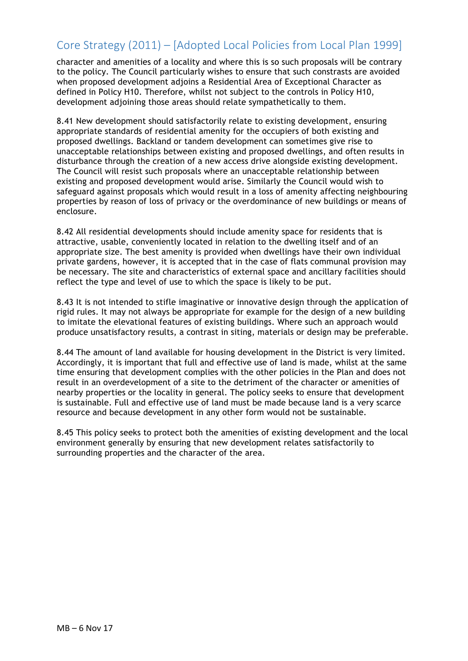character and amenities of a locality and where this is so such proposals will be contrary to the policy. The Council particularly wishes to ensure that such constrasts are avoided when proposed development adjoins a Residential Area of Exceptional Character as defined in Policy H10. Therefore, whilst not subject to the controls in Policy H10, development adjoining those areas should relate sympathetically to them.

8.41 New development should satisfactorily relate to existing development, ensuring appropriate standards of residential amenity for the occupiers of both existing and proposed dwellings. Backland or tandem development can sometimes give rise to unacceptable relationships between existing and proposed dwellings, and often results in disturbance through the creation of a new access drive alongside existing development. The Council will resist such proposals where an unacceptable relationship between existing and proposed development would arise. Similarly the Council would wish to safeguard against proposals which would result in a loss of amenity affecting neighbouring properties by reason of loss of privacy or the overdominance of new buildings or means of enclosure.

8.42 All residential developments should include amenity space for residents that is attractive, usable, conveniently located in relation to the dwelling itself and of an appropriate size. The best amenity is provided when dwellings have their own individual private gardens, however, it is accepted that in the case of flats communal provision may be necessary. The site and characteristics of external space and ancillary facilities should reflect the type and level of use to which the space is likely to be put.

8.43 It is not intended to stifle imaginative or innovative design through the application of rigid rules. It may not always be appropriate for example for the design of a new building to imitate the elevational features of existing buildings. Where such an approach would produce unsatisfactory results, a contrast in siting, materials or design may be preferable.

8.44 The amount of land available for housing development in the District is very limited. Accordingly, it is important that full and effective use of land is made, whilst at the same time ensuring that development complies with the other policies in the Plan and does not result in an overdevelopment of a site to the detriment of the character or amenities of nearby properties or the locality in general. The policy seeks to ensure that development is sustainable. Full and effective use of land must be made because land is a very scarce resource and because development in any other form would not be sustainable.

8.45 This policy seeks to protect both the amenities of existing development and the local environment generally by ensuring that new development relates satisfactorily to surrounding properties and the character of the area.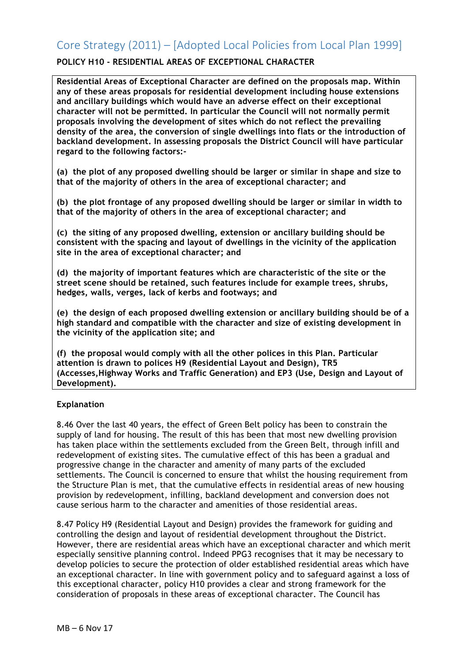### **POLICY H10 - RESIDENTIAL AREAS OF EXCEPTIONAL CHARACTER**

**Residential Areas of Exceptional Character are defined on the proposals map. Within any of these areas proposals for residential development including house extensions and ancillary buildings which would have an adverse effect on their exceptional character will not be permitted. In particular the Council will not normally permit proposals involving the development of sites which do not reflect the prevailing density of the area, the conversion of single dwellings into flats or the introduction of backland development. In assessing proposals the District Council will have particular regard to the following factors:-**

**(a) the plot of any proposed dwelling should be larger or similar in shape and size to that of the majority of others in the area of exceptional character; and** 

**(b) the plot frontage of any proposed dwelling should be larger or similar in width to that of the majority of others in the area of exceptional character; and** 

**(c) the siting of any proposed dwelling, extension or ancillary building should be consistent with the spacing and layout of dwellings in the vicinity of the application site in the area of exceptional character; and** 

**(d) the majority of important features which are characteristic of the site or the street scene should be retained, such features include for example trees, shrubs, hedges, walls, verges, lack of kerbs and footways; and** 

**(e) the design of each proposed dwelling extension or ancillary building should be of a high standard and compatible with the character and size of existing development in the vicinity of the application site; and** 

**(f) the proposal would comply with all the other polices in this Plan. Particular attention is drawn to polices H9 (Residential Layout and Design), TR5 (Accesses,Highway Works and Traffic Generation) and EP3 (Use, Design and Layout of Development).** 

#### **Explanation**

8.46 Over the last 40 years, the effect of Green Belt policy has been to constrain the supply of land for housing. The result of this has been that most new dwelling provision has taken place within the settlements excluded from the Green Belt, through infill and redevelopment of existing sites. The cumulative effect of this has been a gradual and progressive change in the character and amenity of many parts of the excluded settlements. The Council is concerned to ensure that whilst the housing requirement from the Structure Plan is met, that the cumulative effects in residential areas of new housing provision by redevelopment, infilling, backland development and conversion does not cause serious harm to the character and amenities of those residential areas.

8.47 Policy H9 (Residential Layout and Design) provides the framework for guiding and controlling the design and layout of residential development throughout the District. However, there are residential areas which have an exceptional character and which merit especially sensitive planning control. Indeed PPG3 recognises that it may be necessary to develop policies to secure the protection of older established residential areas which have an exceptional character. In line with government policy and to safeguard against a loss of this exceptional character, policy H10 provides a clear and strong framework for the consideration of proposals in these areas of exceptional character. The Council has